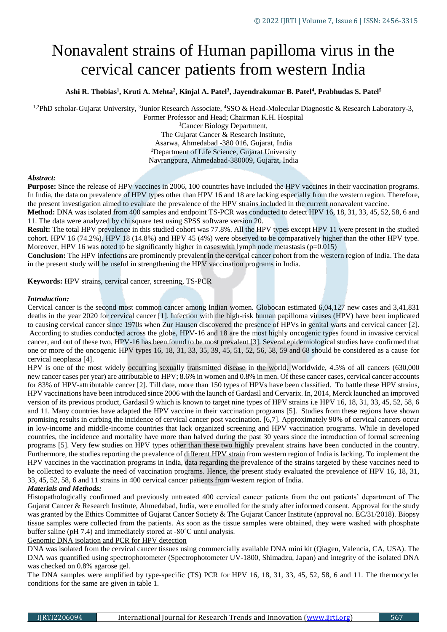# Nonavalent strains of Human papilloma virus in the cervical cancer patients from western India

## **Ashi R. Thobias<sup>1</sup> , Kruti A. Mehta<sup>2</sup> , Kinjal A. Patel<sup>3</sup> , Jayendrakumar B. Patel<sup>4</sup> , Prabhudas S. Patel<sup>5</sup>**

<sup>1,2</sup>PhD scholar-Gujarat University, <sup>3</sup>Junior Research Associate, <sup>4</sup>SSO & Head-Molecular Diagnostic & Research Laboratory-3,

Former Professor and Head; Chairman K.H. Hospital **<sup>1</sup>**Cancer Biology Department, The Gujarat Cancer & Research Institute, Asarwa, Ahmedabad -380 016, Gujarat, India **<sup>1</sup>**Department of Life Science, Gujarat University Navrangpura, Ahmedabad-380009, Gujarat, India

## *Abstract:*

**Purpose:** Since the release of HPV vaccines in 2006, 100 countries have included the HPV vaccines in their vaccination programs. In India, the data on prevalence of HPV types other than HPV 16 and 18 are lacking especially from the western region. Therefore, the present investigation aimed to evaluate the prevalence of the HPV strains included in the current nonavalent vaccine.

**Method:** DNA was isolated from 400 samples and endpoint TS-PCR was conducted to detect HPV 16, 18, 31, 33, 45, 52, 58, 6 and 11. The data were analyzed by chi square test using SPSS software version 20.

**Result:** The total HPV prevalence in this studied cohort was 77.8%. All the HPV types except HPV 11 were present in the studied cohort. HPV 16 (74.2%), HPV 18 (14.8%) and HPV 45 (4%) were observed to be comparatively higher than the other HPV type. Moreover, HPV 16 was noted to be significantly higher in cases with lymph node metastasis  $(p=0.015)$ 

**Conclusion:** The HPV infections are prominently prevalent in the cervical cancer cohort from the western region of India. The data in the present study will be useful in strengthening the HPV vaccination programs in India.

**Keywords:** HPV strains, cervical cancer, screening, TS-PCR

#### *Introduction:*

Cervical cancer is the second most common cancer among Indian women. Globocan estimated 6,04,127 new cases and 3,41,831 deaths in the year 2020 for cervical cancer [1]. Infection with the high-risk human papilloma viruses (HPV) have been implicated to causing cervical cancer since 1970s when Zur Hausen discovered the presence of HPVs in genital warts and cervical cancer [2]. According to studies conducted across the globe, HPV-16 and 18 are the most highly oncogenic types found in invasive cervical cancer, and out of these two, HPV-16 has been found to be most prevalent [3]. Several epidemiological studies have confirmed that one or more of the oncogenic HPV types 16, 18, 31, 33, 35, 39, 45, 51, 52, 56, 58, 59 and 68 should be considered as a cause for cervical neoplasia [4].

HPV is one of the most widely occurring sexually transmitted disease in the world. Worldwide, 4.5% of all cancers (630,000 new cancer cases per year) are attributable to HPV; 8.6% in women and 0.8% in men. Of these cancer cases, cervical cancer accounts for 83% of HPV-attributable cancer [2]. Till date, more than 150 types of HPVs have been classified. To battle these HPV strains, HPV vaccinations have been introduced since 2006 with the launch of Gardasil and Cervarix. In, 2014, Merck launched an improved version of its previous product, Gardasil 9 which is known to target nine types of HPV strains i.e HPV 16, 18, 31, 33, 45, 52, 58, 6 and 11. Many countries have adapted the HPV vaccine in their vaccination programs [5]. Studies from these regions have shown promising results in curbing the incidence of cervical cancer post vaccination. [6,7]. Approximately 90% of cervical cancers occur in low-income and middle-income countries that lack organized screening and HPV vaccination programs. While in developed countries, the incidence and mortality have more than halved during the past 30 years since the introduction of formal screening programs [5]. Very few studies on HPV types other than these two highly prevalent strains have been conducted in the country. Furthermore, the studies reporting the prevalence of different HPV strain from western region of India is lacking. To implement the HPV vaccines in the vaccination programs in India, data regarding the prevalence of the strains targeted by these vaccines need to be collected to evaluate the need of vaccination programs. Hence, the present study evaluated the prevalence of HPV 16, 18, 31, 33, 45, 52, 58, 6 and 11 strains in 400 cervical cancer patients from western region of India.

## *Materials and Methods:*

Histopathologically confirmed and previously untreated 400 cervical cancer patients from the out patients' department of The Gujarat Cancer & Research Institute, Ahmedabad, India, were enrolled for the study after informed consent. Approval for the study was granted by the Ethics Committee of Gujarat Cancer Society & The Gujarat Cancer Institute (approval no. EC/31/2018). Biopsy tissue samples were collected from the patients. As soon as the tissue samples were obtained, they were washed with phosphate buffer saline (pH 7.4) and immediately stored at -80˚C until analysis.

Genomic DNA isolation and PCR for HPV detection

DNA was isolated from the cervical cancer tissues using commercially available DNA mini kit (Qiagen, Valencia, CA, USA). The DNA was quantified using spectrophotometer (Spectrophotometer UV-1800, Shimadzu, Japan) and integrity of the isolated DNA was checked on 0.8% agarose gel.

The DNA samples were amplified by type-specific (TS) PCR for HPV 16, 18, 31, 33, 45, 52, 58, 6 and 11. The thermocycler conditions for the same are given in table 1.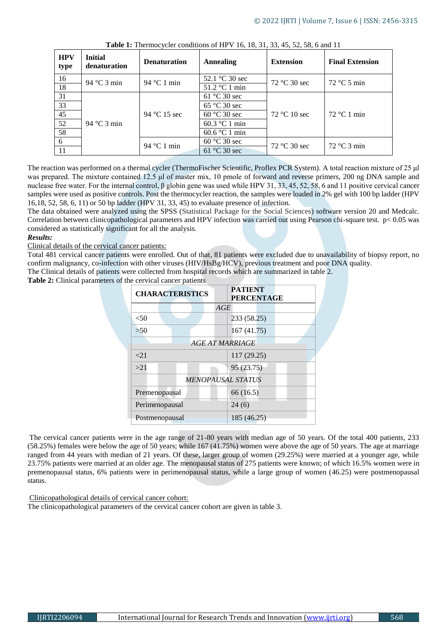| <b>HPV</b><br>type | <b>Initial</b><br>denaturation | <b>Denaturation</b> | <b>Annealing</b>        | <b>Extension</b> | <b>Final Extension</b>        |  |
|--------------------|--------------------------------|---------------------|-------------------------|------------------|-------------------------------|--|
| 16                 | 94 °C 3 min                    | 94 °C 1 min         | 52.1 °C 30 sec          | $72 °C$ 30 sec   | $72 \text{ °C} 5 \text{ min}$ |  |
| 18                 |                                |                     | $51.2 \text{ °C}$ 1 min |                  |                               |  |
| 31                 | 94 °C 3 min                    | 94 °C 15 sec        | $61^{\circ}$ C 30 sec   |                  | $72 °C1$ min                  |  |
| 33                 |                                |                     | $65^{\circ}$ C 30 sec   |                  |                               |  |
| 45                 |                                |                     | $60^{\circ}$ C 30 sec   | 72 °C 10 sec     |                               |  |
| 52                 |                                |                     | $60.3 \degree C$ 1 min  |                  |                               |  |
| 58                 |                                |                     | $60.6\degree C1$ min    |                  |                               |  |
| -6                 |                                | 94 °C 1 min         | 60 °C 30 sec            |                  | $72^{\circ}$ C 3 min          |  |
| 11                 |                                |                     | 61 °C 30 sec            | $72 °C$ 30 sec   |                               |  |

**Table 1:** Thermocycler conditions of HPV 16, 18, 31, 33, 45, 52, 58, 6 and 11

The reaction was performed on a thermal cycler (ThermoFischer Scientific, Proflex PCR System). A total reaction mixture of 25 μl was prepared. The mixture contained 12.5 μl of master mix, 10 pmole of forward and reverse primers, 200 ng DNA sample and nuclease free water. For the internal control, β globin gene was used while HPV 31, 33, 45, 52, 58, 6 and 11 positive cervical cancer samples were used as positive controls. Post the thermocycler reaction, the samples were loaded in 2% gel with 100 bp ladder (HPV 16,18, 52, 58, 6, 11) or 50 bp ladder (HPV 31, 33, 45) to evaluate presence of infection.

The data obtained were analyzed using the SPSS (Statistical Package for the Social Sciences) software version 20 and Medcalc. Correlation between clinicopathological parameters and HPV infection was carried out using Pearson chi-square test.  $p < 0.05$  was considered as statistically significant for all the analysis.

#### *Results:*

Clinical details of the cervical cancer patients:

Total 481 cervical cancer patients were enrolled. Out of that, 81 patients were excluded due to unavailability of biopsy report, no confirm malignancy, co-infection with other viruses (HIV/HsBg/HCV), previous treatment and poor DNA quality.

The Clinical details of patients were collected from hospital records which are summarized in table 2.

**Table 2:** Clinical parameters of the cervical cancer patients

| <b>CHARACTERISTICS</b>   | <b>PATIENT</b><br><b>PERCENTAGE</b> |  |  |  |  |  |  |
|--------------------------|-------------------------------------|--|--|--|--|--|--|
|                          | AGE                                 |  |  |  |  |  |  |
| < 50                     | 233 (58.25)                         |  |  |  |  |  |  |
| >50                      | 167(41.75)                          |  |  |  |  |  |  |
| <b>AGE AT MARRIAGE</b>   |                                     |  |  |  |  |  |  |
| ${<}21$                  | 117 (29.25)                         |  |  |  |  |  |  |
| >21                      | 95 (23.75)                          |  |  |  |  |  |  |
| <b>MENOPAUSAL STATUS</b> |                                     |  |  |  |  |  |  |
| Premenopausal            | 66 (16.5)                           |  |  |  |  |  |  |
| Perimenopausal           | 24(6)                               |  |  |  |  |  |  |
| Postmenopausal           | 185 (46.25)                         |  |  |  |  |  |  |

The cervical cancer patients were in the age range of 21-80 years with median age of 50 years. Of the total 400 patients, 233 (58.25%) females were below the age of 50 years; while 167 (41.75%) women were above the age of 50 years. The age at marriage ranged from 44 years with median of 21 years. Of these, larger group of women (29.25%) were married at a younger age, while 23.75% patients were married at an older age. The menopausal status of 275 patients were known; of which 16.5% women were in premenopausal status, 6% patients were in perimenopausal status, while a large group of women (46.25) were postmenopausal status.

Clinicopathological details of cervical cancer cohort:

The clinicopathological parameters of the cervical cancer cohort are given in table 3.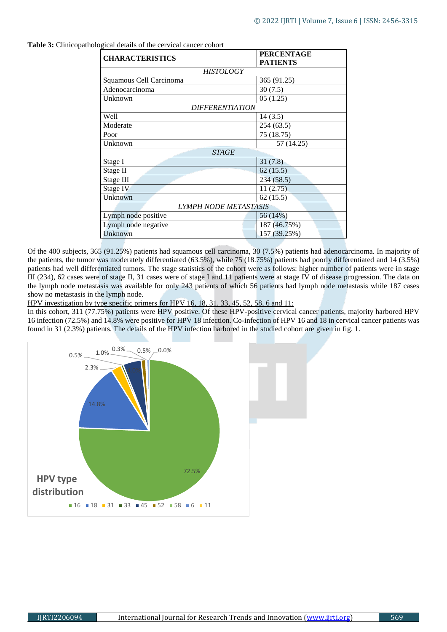| <b>CHARACTERISTICS</b>       | <b>PERCENTAGE</b> |  |  |  |  |
|------------------------------|-------------------|--|--|--|--|
|                              | <b>PATIENTS</b>   |  |  |  |  |
| <b>HISTOLOGY</b>             |                   |  |  |  |  |
| Squamous Cell Carcinoma      | 365 (91.25)       |  |  |  |  |
| Adenocarcinoma               | 30(7.5)           |  |  |  |  |
| Unknown                      | 05(1.25)          |  |  |  |  |
| <b>DIFFERENTIATION</b>       |                   |  |  |  |  |
| Well                         | 14(3.5)           |  |  |  |  |
| Moderate                     | 254(63.5)         |  |  |  |  |
| Poor                         | 75 (18.75)        |  |  |  |  |
| Unknown                      | 57 (14.25)        |  |  |  |  |
| <b>STAGE</b>                 |                   |  |  |  |  |
| Stage I                      | 31(7.8)           |  |  |  |  |
| Stage II                     | 62(15.5)          |  |  |  |  |
| Stage III                    | 234(58.5)         |  |  |  |  |
| Stage IV                     | 11(2.75)          |  |  |  |  |
| Unknown                      | 62(15.5)          |  |  |  |  |
| <b>LYMPH NODE METASTASIS</b> |                   |  |  |  |  |
| Lymph node positive          | 56 (14%)          |  |  |  |  |
| Lymph node negative          | 187 (46.75%)      |  |  |  |  |
| Unknown                      | 157 (39.25%)      |  |  |  |  |

**Table 3:** Clinicopathological details of the cervical cancer cohort

Of the 400 subjects, 365 (91.25%) patients had squamous cell carcinoma, 30 (7.5%) patients had adenocarcinoma. In majority of the patients, the tumor was moderately differentiated (63.5%), while 75 (18.75%) patients had poorly differentiated and 14 (3.5%) patients had well differentiated tumors. The stage statistics of the cohort were as follows: higher number of patients were in stage III (234), 62 cases were of stage II, 31 cases were of stage I and 11 patients were at stage IV of disease progression. The data on the lymph node metastasis was available for only 243 patients of which 56 patients had lymph node metastasis while 187 cases show no metastasis in the lymph node.

HPV investigation by type specific primers for HPV 16, 18, 31, 33, 45, 52, 58, 6 and 11:

In this cohort, 311 (77.75%) patients were HPV positive. Of these HPV-positive cervical cancer patients, majority harbored HPV 16 infection (72.5%) and 14.8% were positive for HPV 18 infection. Co-infection of HPV 16 and 18 in cervical cancer patients was found in 31 (2.3%) patients. The details of the HPV infection harbored in the studied cohort are given in fig. 1.

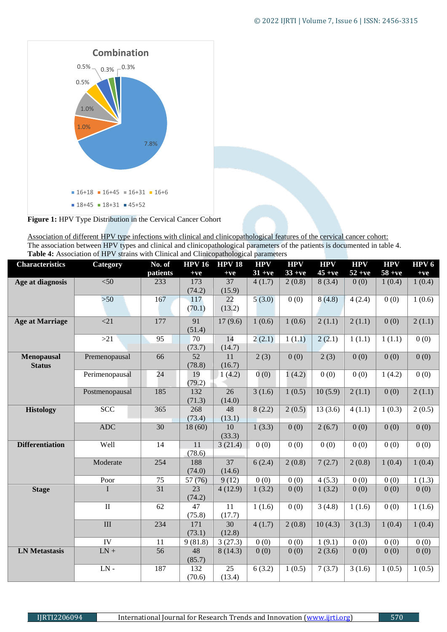

**Figure 1:** HPV Type Distribution in the Cervical Cancer Cohort

Association of different HPV type infections with clinical and clinicopathological features of the cervical cancer cohort: The association between HPV types and clinical and clinicopathological parameters of the patients is documented in table 4. **Table 4:** Association of HPV strains with Clinical and Clinicopathological parameters

| <b>Characteristics</b> | Category                | No. of          | <b>HPV 16</b>   | <b>HPV 18</b> | <b>HPV</b> | <b>HPV</b>        | <b>HPV</b>           | <b>HPV</b> | <b>HPV</b>        | HPV <sub>6</sub> |
|------------------------|-------------------------|-----------------|-----------------|---------------|------------|-------------------|----------------------|------------|-------------------|------------------|
|                        |                         | patients        | $+ve$           | $+ve$         | $31 + ve$  | $33 + ve$         | $45 + ve$            | $52 + ve$  | $58 + ve$         | $+ve$            |
| Age at diagnosis       | < 50                    | 233             | 173             | 37            | 4(1.7)     | 2(0.8)            | 8(3.4)               | 0(0)       | 1(0.4)            | 1(0.4)           |
|                        |                         |                 | (74.2)          | (15.9)        |            |                   |                      |            |                   |                  |
|                        | $>50$                   | 167             | 117             | 22            | 5(3.0)     | 0(0)              | 8(4.8)               | 4(2.4)     | 0(0)              | 1(0.6)           |
|                        |                         |                 | (70.1)          | (13.2)        |            |                   |                      |            |                   |                  |
| <b>Age at Marriage</b> | $\overline{21}$         | 177             | $\overline{91}$ | 17(9.6)       | 1(0.6)     | 1(0.6)            | $\overline{2}$ (1.1) | 2(1.1)     | 0(0)              | 2(1.1)           |
|                        |                         |                 | (51.4)          |               |            |                   |                      |            |                   |                  |
|                        | >21                     | 95              | 70              | 14            | 2(2.1)     | 1(1.1)            | 2(2.1)               | 1(1.1)     | 1(1.1)            | 0(0)             |
|                        |                         |                 | (73.7)          | (14.7)        |            |                   |                      |            |                   |                  |
| Menopausal             | Premenopausal           | 66              | $\overline{52}$ | 11            | 2(3)       | 0(0)              | 2(3)                 | 0(0)       | 0(0)              | 0(0)             |
| <b>Status</b>          |                         |                 | (78.8)          | (16.7)        |            |                   |                      |            |                   |                  |
|                        | Perimenopausal          | 24              | 19              | 1(4.2)        | 0(0)       | 1(4.2)            | 0(0)                 | 0(0)       | 1(4.2)            | 0(0)             |
|                        |                         |                 | (79.2)          |               |            |                   |                      |            |                   |                  |
|                        | Postmenopausal          | 185             | 132             | 26            | 3(1.6)     | 1(0.5)            | 10(5.9)              | 2(1.1)     | 0(0)              | 2(1.1)           |
|                        |                         |                 | (71.3)          | (14.0)        |            |                   |                      |            |                   |                  |
| <b>Histology</b>       | <b>SCC</b>              | 365             | 268             | 48            | 8(2.2)     | 2(0.5)            | 13(3.6)              | 4(1.1)     | 1(0.3)            | 2(0.5)           |
|                        |                         |                 | (73.4)          | (13.1)        |            |                   |                      |            |                   |                  |
|                        | <b>ADC</b>              | 30              | 18(60)          | 10            | 1(3.3)     | 0(0)              | 2(6.7)               | 0(0)       | 0(0)              | 0(0)             |
|                        |                         |                 |                 | (33.3)        |            |                   |                      |            |                   |                  |
| <b>Differentiation</b> | Well                    | 14              | 11<br>(78.6)    | 3(21.4)       | 0(0)       | 0(0)              | 0(0)                 | 0(0)       | 0(0)              | 0(0)             |
|                        | Moderate                | 254             |                 | 37            |            |                   |                      |            |                   | 1(0.4)           |
|                        |                         |                 | 188<br>(74.0)   | (14.6)        | 6(2.4)     | 2(0.8)            | 7(2.7)               | 2(0.8)     | 1(0.4)            |                  |
|                        | Poor                    | 75              | 57 (76)         | 9(12)         | 0(0)       | 0(0)              | 4(5.3)               | 0(0)       | 0(0)              | 1(1.3)           |
| <b>Stage</b>           | I                       | 31              | 23              | 4(12.9)       | 1(3.2)     | 0(0)              | 1(3.2)               | 0(0)       | 0(0)              | 0(0)             |
|                        |                         |                 | (74.2)          |               |            |                   |                      |            |                   |                  |
|                        | $\overline{\rm II}$     | $\overline{62}$ | 47              | 11            | 1(1.6)     | $\overline{0(0)}$ | 3(4.8)               | 1(1.6)     | $\overline{0(0)}$ | 1(1.6)           |
|                        |                         |                 | (75.8)          | (17.7)        |            |                   |                      |            |                   |                  |
|                        | $\overline{\hbox{III}}$ | 234             | 171             | 30            | 4(1.7)     | 2(0.8)            | 10(4.3)              | 3(1.3)     | 1(0.4)            | 1(0.4)           |
|                        |                         |                 | (73.1)          | (12.8)        |            |                   |                      |            |                   |                  |
|                        | $\overline{IV}$         | 11              | 9(81.8)         | 3(27.3)       | 0(0)       | 0(0)              | 1(9.1)               | 0(0)       | 0(0)              | 0(0)             |
| <b>LN</b> Metastasis   | $LN +$                  | 56              | 48              | 8(14.3)       | 0(0)       | 0(0)              | 2(3.6)               | 0(0)       | 0(0)              | 0(0)             |
|                        |                         |                 | (85.7)          |               |            |                   |                      |            |                   |                  |
|                        | $LN -$                  | 187             | 132             | 25            | 6(3.2)     | 1(0.5)            | 7(3.7)               | 3(1.6)     | 1(0.5)            | 1(0.5)           |
|                        |                         |                 | (70.6)          | (13.4)        |            |                   |                      |            |                   |                  |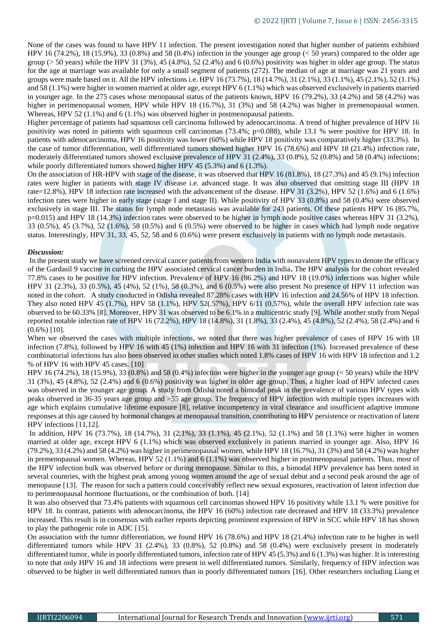None of the cases was found to have HPV 11 infection. The present investigation noted that higher number of patients exhibited HPV 16 (74.2%), 18 (15.9%), 33 (0.8%) and 58 (0.4%) infection in the younger age group (< 50 years) compared to the older age group ( $>$  50 years) while the HPV 31 (3%), 45 (4.8%), 52 (2.4%) and 6 (0.6%) positivity was higher in older age group. The status for the age at marriage was available for only a small segment of patients (272). The median of age at marriage was 21 years and groups were made based on it. All the HPV infections i.e. HPV 16 (73.7%), 18 (14.7%), 31 (2.1%), 33 (1.1%), 45 (2.1%), 52 (1.1%) and 58 (1.1%) were higher in women married at older age, except HPV 6 (1.1%) which was observed exclusively in patients married in younger age. In the 275 cases whose menopausal status of the patients known, HPV 16 (79.2%), 33 (4.2%) and 58 (4.2%) was higher in perimenopausal women, HPV while HPV 18 (16.7%), 31 (3%) and 58 (4.2%) was higher in premenopausal women. Whereas, HPV 52 (1.1%) and 6 (1.1%) was observed higher in postmenopausal patients.

Higher percentage of patients had squamous cell carcinoma followed by adenocarcinoma. A trend of higher prevalence of HPV 16 positivity was noted in patients with squamous cell carcinomas (73.4%; p=0.088), while 13.1 % were positive for HPV 18. In patients with adenocarcinoma, HPV 16 positivity was lower (60%) while HPV 18 positivity was comparatively higher (33.3%). In the case of tumor differentiation, well differentiated tumors showed higher HPV 16 (78.6%) and HPV 18 (21.4%) infection rate, moderately differentiated tumors showed exclusive prevalence of HPV 31 (2.4%), 33 (0.8%), 52 (0.8%) and 58 (0.4%) infections; while poorly differentiated tumors showed higher HPV 45 (5.3%) and 6 (1.3%).

On the association of HR-HPV with stage of the disease, it was observed that HPV 16 (81.8%), 18 (27.3%) and 45 (9.1%) infection rates were higher in patients with stage IV disease i.e. advanced stage. It was also observed that omitting stage III (HPV 18 rate=12.8%), HPV 18 infection rate increased with the advancement of the disease. HPV 31 (3.2%), HPV 52 (1.6%) and 6 (1.6%) infection rates were higher in early stage (stage I and stage II). While positivity of HPV 33 (0.8%) and 58 (0.4%) were observed exclusively in stage III. The status for lymph node metastasis was available for 243 patients. Of these patients HPV 16 (85.7%,  $p=0.015$ ) and HPV 18 (14.3%) infection rates were observed to be higher in lymph node positive cases whereas HPV 31 (3.2%), 33 (0.5%), 45 (3.7%), 52 (1.6%), 58 (0.5%) and 6 (0.5%) were observed to be higher in cases which had lymph node negative status. Interestingly, HPV 31, 33, 45, 52, 58 and 6 (0.6%) were present exclusively in patients with no lymph node metastasis.

## *Discussion:*

In the present study we have screened cervical cancer patients from western India with nonavalent HPV types to denote the efficacy of the Gardasil 9 vaccine in curbing the HPV associated cervical cancer burden in India**.** The HPV analysis for the cohort revealed 77.8% cases to be positive for HPV infection. Prevalence of HPV 16 (86.2%) and HPV 18 (19.0%) infections was higher while HPV 31 (2.3%), 33 (0.5%), 45 (4%), 52 (1%), 58 (0.3%), and 6 (0.5%) were also present No presence of HPV 11 infection was noted in the cohort. A study conducted in Odisha revealed 87.28% cases with HPV 16 infection and 24.56% of HPV 18 infection. They also noted HPV 45 (1.7%), HPV 58 (1.1%), HPV 52(.57%), HPV 6/11 (0.57%), while the overall HPV infection rate was observed to be 60.33% [8]. Moreover, HPV 31 was observed to be 6.1% in a multicentric study [9]. While another study from Nepal reported notable infection rate of HPV 16 (72.2%), HPV 18 (14.8%), 31 (1.8%), 33 (2.4%), 45 (4.8%), 52 (2.4%), 58 (2.4%) and 6  $(0.6\%)$  [10].

When we observed the cases with multiple infections, we noted that there was higher prevalence of cases of HPV 16 with 18 infection (7.8%), followed by HPV 16 with 45 (1%) infection and HPV 16 with 31 infection (1%). Increased prevalence of these combinatorial infections has also been observed in other studies which noted 1.8% cases of HPV 16 with HPV 18 infection and 1.2 % of HPV 16 with HPV 45 cases. [10]

HPV 16 (74.2%), 18 (15.9%), 33 (0.8%) and 58 (0.4%) infection were higher in the younger age group (< 50 years) while the HPV 31 (3%), 45 (4.8%), 52 (2.4%) and 6 (0.6%) positivity was higher in older age group. Thus, a higher load of HPV infected cases was observed in the younger age group. A study from Odisha noted a bimodal peak in the prevalence of various HPV types with peaks observed in 36-35 years age group and >55 age group. The frequency of HPV infection with multiple types increases with age which explains cumulative lifetime exposure [8], relative incompetency in viral clearance and insufficient adaptive immune responses at this age caused by hormonal changes at menopausal transition, contributing to HPV persistence or reactivation of latent HPV infections [11,12].

In addition, HPV 16 (73.7%), 18 (14.7%), 31 (2.1%), 33 (1.1%), 45 (2.1%), 52 (1.1%) and 58 (1.1%) were higher in women married at older age, except HPV 6 (1.1%) which was observed exclusively in patients married in younger age. Also, HPV 16 (79.2%), 33 (4.2%) and 58 (4.2%) was higher in perimenopausal women, while HPV 18 (16.7%), 31 (3%) and 58 (4.2%) was higher in premenopausal women. Whereas, HPV 52 (1.1%) and 6 (1.1%) was observed higher in postmenopausal patients. Thus, most of the HPV infection bulk was observed before or during menopause. Similar to this, a bimodal HPV prevalence has been noted in several countries, with the highest peak among young women around the age of sexual debut and a second peak around the age of menopause [13]. The reason for such a pattern could conceivably reflect new sexual exposures, reactivation of latent infection due to perimenopausal hormone fluctuations, or the combination of both. [14]

It was also observed that 73.4% patients with squamous cell carcinomas showed HPV 16 positivity while 13.1 % were positive for HPV 18. In contrast, patients with adenocarcinoma, the HPV 16 (60%) infection rate decreased and HPV 18 (33.3%) prevalence increased. This result is in consensus with earlier reports depicting prominent expression of HPV in SCC while HPV 18 has shown to play the pathogenic role in ADC [15].

On association with the tumor differentiation, we found HPV 16 (78.6%) and HPV 18 (21.4%) infection rate to be higher in well differentiated tumors while HPV 31 (2.4%), 33 (0.8%), 52 (0.8%) and 58 (0.4%) were exclusively present in moderately differentiated tumor, while in poorly differentiated tumors, infection rate of HPV 45 (5.3%) and 6 (1.3%) was higher. It is interesting to note that only HPV 16 and 18 infections were present in well differentiated tumors. Similarly, frequency of HPV infection was observed to be higher in well differentiated tumors than in poorly differentiated tumors [16]. Other researchers including Liang et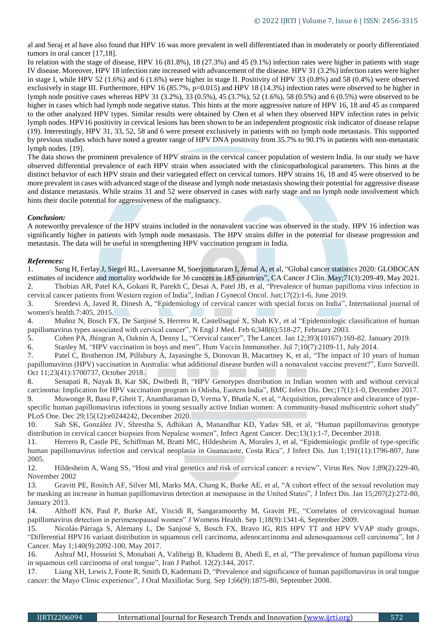al and Seraj et al have also found that HPV 16 was more prevalent in well differentiated than in moderately or poorly differentiated tumors in oral cancer [17,18].

In relation with the stage of disease, HPV 16 (81.8%), 18 (27.3%) and 45 (9.1%) infection rates were higher in patients with stage IV disease. Moreover, HPV 18 infection rate increased with advancement of the disease. HPV 31 (3.2%) infection rates were higher in stage I, while HPV 52 (1.6%) and 6 (1.6%) were higher in stage II. Positivity of HPV 33 (0.8%) and 58 (0.4%) were observed exclusively in stage III. Furthermore, HPV 16 (85.7%, p=0.015) and HPV 18 (14.3%) infection rates were observed to be higher in lymph node positive cases whereas HPV 31 (3.2%), 33 (0.5%), 45 (3.7%), 52 (1.6%), 58 (0.5%) and 6 (0.5%) were observed to be higher in cases which had lymph node negative status. This hints at the more aggressive nature of HPV 16, 18 and 45 as compared to the other analyzed HPV types. Similar results were obtained by Chen et al when they observed HPV infection rates in pelvic lymph nodes. HPV16 positivity in cervical lesions has been shown to be an independent prognostic risk indicator of disease relapse (19). Interestingly, HPV 31, 33, 52, 58 and 6 were present exclusively in patients with no lymph node metastasis. This supported by previous studies which have noted a greater range of HPV DNA positivity from 35.7% to 90.1% in patients with non-metastatic lymph nodes. [19].

The data shows the prominent prevalence of HPV strains in the cervical cancer population of western India. In our study we have observed differential prevalence of each HPV strain when associated with the clinicopathological parameters. This hints at the distinct behavior of each HPV strain and their variegated effect on cervical tumors. HPV strains 16, 18 and 45 were observed to be more prevalent in cases with advanced stage of the disease and lymph node metastasis showing their potential for aggressive disease and distance metastasis. While strains 31 and 52 were observed in cases with early stage and no lymph node involvement which hints their docile potential for aggressiveness of the malignancy.

## *Conclusion:*

A noteworthy prevalence of the HPV strains included in the nonavalent vaccine was observed in the study. HPV 16 infection was significantly higher in patients with lymph node metastasis. The HPV strains differ in the potential for disease progression and metastasis. The data will be useful in strengthening HPV vaccination program in India.

## *References:*

1. Sung H, Ferlay J, Siegel RL, Laversanne M, Soerjomataram I, Jemal A, et al, "Global cancer statistics 2020: GLOBOCAN estimates of incidence and mortality worldwide for 36 cancers in 185 countries", CA Cancer J Clin. May;71(3):209-49, May 2021. 2. Thobias AR, Patel KA, Gokani R, Parekh C, Desai A, Patel JB, et al, "Prevalence of human papilloma virus infection in cervical cancer patients from Western region of India", Indian J Gynecol Oncol. Jun;17(2):1-6, June 2019.

3. Sreedevi A, Javed R, Dinesh A, "Epidemiology of cervical cancer with special focus on India", International journal of women's health.7:405, 2015.

4. Muñoz N, Bosch FX, De Sanjosé S, Herrero R, Castellsagué X, Shah KV, et al "Epidemiologic classification of human papillomavirus types associated with cervical cancer", N Engl J Med. Feb 6;348(6):518-27, February 2003.

5. Cohen PA, Jhingran A, Oaknin A, Denny L, "Cervical cancer", The Lancet. Jan 12;393(10167):169-82. January 2019.

6. Stanley M, "HPV vaccination in boys and men", Hum Vaccin Immunother. Jul 7;10(7):2109-11, July 2014.

7. Patel C, Brotherton JM, Pillsbury A, Jayasinghe S, Donovan B, Macartney K, et al, "The impact of 10 years of human papillomavirus (HPV) vaccination in Australia: what additional disease burden will a nonavalent vaccine prevent?", Euro Surveill. Oct 11;23(41):1700737, October 2018.

8. Senapati R, Nayak B, Kar SK, Dwibedi B, "HPV Genotypes distribution in Indian women with and without cervical carcinoma: Implication for HPV vaccination program in Odisha, Eastern India", BMC Infect Dis. Dec;17(1):1-0, December 2017. 9. Muwonge R, Basu P, Gheit T, Anantharaman D, Verma Y, Bhatla N, et al, "Acquisition, prevalence and clearance of type-

specific human papillomavirus infections in young sexually active Indian women: A community-based multicentric cohort study" PLoS One. Dec 29;15(12):e0244242, December 2020.

10. Sah SK, González JV, Shrestha S, Adhikari A, Manandhar KD, Yadav SB, et al, "Human papillomavirus genotype distribution in cervical cancer biopsies from Nepalese women", Infect Agent Cancer. Dec;13(1):1-7, December 2018.

11. Herrero R, Castle PE, Schiffman M, Bratti MC, Hildesheim A, Morales J, et al, "Epidemiologic profile of type-specific human papillomavirus infection and cervical neoplasia in Guanacaste, Costa Rica", J Infect Dis. Jun 1;191(11):1796-807, June 2005.

12. Hildesheim A, Wang SS, "Host and viral genetics and risk of cervical cancer: a review", Virus Res. Nov 1;89(2):229-40, November 2002

13. Gravitt PE, Rositch AF, Silver MI, Marks MA, Chang K, Burke AE, et al, "A cohort effect of the sexual revolution may be masking an increase in human papillomavirus detection at menopause in the United States", J Infect Dis. Jan 15;207(2):272-80, January 2013.

14. Althoff KN, Paul P, Burke AE, Viscidi R, Sangaramoorthy M, Gravitt PE, "Correlates of cervicovaginal human papillomavirus detection in perimenopausal women" J Womens Health. Sep 1;18(9):1341-6, September 2009.

15. Nicolás‐Párraga S, Alemany L, De Sanjosé S, Bosch FX, Bravo IG, RIS HPV TT and HPV VVAP study groups, "Differential HPV16 variant distribution in squamous cell carcinoma, adenocarcinoma and adenosquamous cell carcinoma", Int J Cancer. May 1;140(9):2092-100, May 2017.

16. Ashraf MJ, Hosseini S, Monabati A, Valibeigi B, Khademi B, Abedi E, et al, "The prevalence of human papilloma virus in squamous cell carcinoma of oral tongue", Iran J Pathol. 12(2):144, 2017.

17. Liang XH, Lewis J, Foote R, Smith D, Kademani D, "Prevalence and significance of human papillomavirus in oral tongue cancer: the Mayo Clinic experience", J Oral Maxillofac Surg. Sep 1;66(9):1875-80, September 2008.